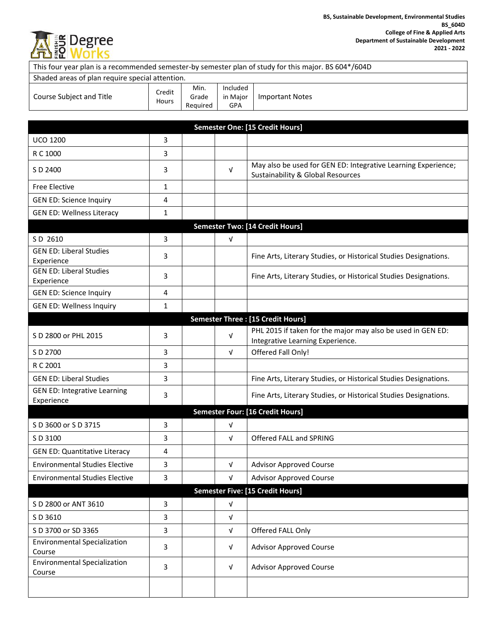

|                                                   |                 |                           |                             | This four year plan is a recommended semester-by semester plan of study for this major. BS 604*/604D          |
|---------------------------------------------------|-----------------|---------------------------|-----------------------------|---------------------------------------------------------------------------------------------------------------|
| Shaded areas of plan require special attention.   |                 |                           |                             |                                                                                                               |
| Course Subject and Title                          | Credit<br>Hours | Min.<br>Grade<br>Required | Included<br>in Major<br>GPA | <b>Important Notes</b>                                                                                        |
|                                                   |                 |                           |                             |                                                                                                               |
|                                                   |                 |                           |                             | Semester One: [15 Credit Hours]                                                                               |
| <b>UCO 1200</b>                                   | 3               |                           |                             |                                                                                                               |
| R C 1000                                          | 3               |                           |                             |                                                                                                               |
| S D 2400                                          | 3               |                           | $\sqrt{ }$                  | May also be used for GEN ED: Integrative Learning Experience;<br><b>Sustainability &amp; Global Resources</b> |
| <b>Free Elective</b>                              | $\mathbf{1}$    |                           |                             |                                                                                                               |
| <b>GEN ED: Science Inquiry</b>                    | 4               |                           |                             |                                                                                                               |
| <b>GEN ED: Wellness Literacy</b>                  | $\mathbf{1}$    |                           |                             |                                                                                                               |
|                                                   |                 |                           |                             | <b>Semester Two: [14 Credit Hours]</b>                                                                        |
| SD 2610                                           | 3               |                           | ν                           |                                                                                                               |
| <b>GEN ED: Liberal Studies</b><br>Experience      | 3               |                           |                             | Fine Arts, Literary Studies, or Historical Studies Designations.                                              |
| <b>GEN ED: Liberal Studies</b><br>Experience      | 3               |                           |                             | Fine Arts, Literary Studies, or Historical Studies Designations.                                              |
| <b>GEN ED: Science Inquiry</b>                    | 4               |                           |                             |                                                                                                               |
| <b>GEN ED: Wellness Inquiry</b>                   | $\mathbf{1}$    |                           |                             |                                                                                                               |
|                                                   |                 |                           |                             | Semester Three : [15 Credit Hours]                                                                            |
| S D 2800 or PHL 2015                              | 3               |                           | $\sqrt{ }$                  | PHL 2015 if taken for the major may also be used in GEN ED:<br>Integrative Learning Experience.               |
| S D 2700                                          | 3               |                           | $\sqrt{ }$                  | Offered Fall Only!                                                                                            |
| R C 2001                                          | 3               |                           |                             |                                                                                                               |
| <b>GEN ED: Liberal Studies</b>                    | 3               |                           |                             | Fine Arts, Literary Studies, or Historical Studies Designations.                                              |
| <b>GEN ED: Integrative Learning</b><br>Experience | 3               |                           |                             | Fine Arts, Literary Studies, or Historical Studies Designations.                                              |
|                                                   |                 |                           |                             | Semester Four: [16 Credit Hours]                                                                              |
| S D 3600 or S D 3715                              | 3               |                           | $\sqrt{ }$                  |                                                                                                               |
| S D 3100                                          | 3               |                           | V                           | Offered FALL and SPRING                                                                                       |
| <b>GEN ED: Quantitative Literacy</b>              | 4               |                           |                             |                                                                                                               |
| <b>Environmental Studies Elective</b>             | 3               |                           | $\sqrt{ }$                  | <b>Advisor Approved Course</b>                                                                                |
| <b>Environmental Studies Elective</b>             | 3               |                           | $\sqrt{ }$                  | <b>Advisor Approved Course</b>                                                                                |
|                                                   |                 |                           |                             | <b>Semester Five: [15 Credit Hours]</b>                                                                       |
| S D 2800 or ANT 3610                              | 3               |                           | $\sqrt{ }$                  |                                                                                                               |
| S D 3610                                          | 3               |                           | $\sqrt{ }$                  |                                                                                                               |
| S D 3700 or SD 3365                               | 3               |                           | $\sqrt{ }$                  | Offered FALL Only                                                                                             |
| <b>Environmental Specialization</b><br>Course     | 3               |                           | $\sqrt{ }$                  | <b>Advisor Approved Course</b>                                                                                |
| <b>Environmental Specialization</b><br>Course     | 3               |                           | $\sqrt{ }$                  | <b>Advisor Approved Course</b>                                                                                |
|                                                   |                 |                           |                             |                                                                                                               |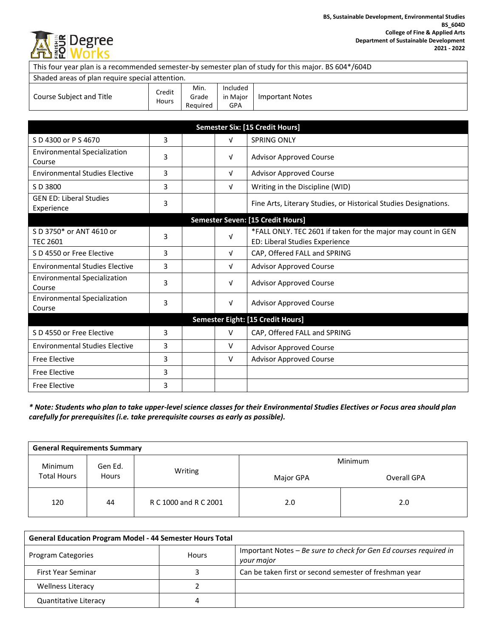

| This four year plan is a recommended semester-by semester plan of study for this major. BS 604*/604D |                 |                           |                             |                                                                                                |  |
|------------------------------------------------------------------------------------------------------|-----------------|---------------------------|-----------------------------|------------------------------------------------------------------------------------------------|--|
| Shaded areas of plan require special attention.                                                      |                 |                           |                             |                                                                                                |  |
| Course Subject and Title                                                                             | Credit<br>Hours | Min.<br>Grade<br>Required | Included<br>in Major<br>GPA | <b>Important Notes</b>                                                                         |  |
|                                                                                                      |                 |                           |                             |                                                                                                |  |
| <b>Semester Six: [15 Credit Hours]</b>                                                               |                 |                           |                             |                                                                                                |  |
| S D 4300 or P S 4670                                                                                 | 3               |                           | $\sqrt{ }$                  | SPRING ONLY                                                                                    |  |
| <b>Environmental Specialization</b><br>Course                                                        | 3               |                           | v                           | <b>Advisor Approved Course</b>                                                                 |  |
| <b>Environmental Studies Elective</b>                                                                | 3               |                           | $\sqrt{ }$                  | <b>Advisor Approved Course</b>                                                                 |  |
| S D 3800                                                                                             | 3               |                           | $\sqrt{ }$                  | Writing in the Discipline (WID)                                                                |  |
| <b>GEN ED: Liberal Studies</b><br>Experience                                                         | 3               |                           |                             | Fine Arts, Literary Studies, or Historical Studies Designations.                               |  |
| Semester Seven: [15 Credit Hours]                                                                    |                 |                           |                             |                                                                                                |  |
| S D 3750* or ANT 4610 or<br><b>TEC 2601</b>                                                          | 3               |                           | $\sqrt{ }$                  | *FALL ONLY. TEC 2601 if taken for the major may count in GEN<br>ED: Liberal Studies Experience |  |
| S D 4550 or Free Elective                                                                            | 3               |                           | $\sqrt{ }$                  | CAP, Offered FALL and SPRING                                                                   |  |
| <b>Environmental Studies Elective</b>                                                                | 3               |                           | $\sqrt{ }$                  | <b>Advisor Approved Course</b>                                                                 |  |
| <b>Environmental Specialization</b><br>Course                                                        | 3               |                           | $\sqrt{ }$                  | <b>Advisor Approved Course</b>                                                                 |  |
| <b>Environmental Specialization</b><br>Course                                                        | 3               |                           | $\sqrt{ }$                  | <b>Advisor Approved Course</b>                                                                 |  |
| <b>Semester Eight: [15 Credit Hours]</b>                                                             |                 |                           |                             |                                                                                                |  |
| S D 4550 or Free Elective                                                                            | 3               |                           | $\vee$                      | CAP, Offered FALL and SPRING                                                                   |  |
| <b>Environmental Studies Elective</b>                                                                | 3               |                           | $\vee$                      | <b>Advisor Approved Course</b>                                                                 |  |
| <b>Free Elective</b>                                                                                 | 3               |                           | $\vee$                      | <b>Advisor Approved Course</b>                                                                 |  |
| <b>Free Elective</b>                                                                                 | 3               |                           |                             |                                                                                                |  |
| <b>Free Elective</b>                                                                                 | 3               |                           |                             |                                                                                                |  |

*\* Note: Students who plan to take upper-level science classes for their Environmental Studies Electives or Focus area should plan carefully for prerequisites (i.e. take prerequisite courses as early as possible).*

| <b>General Requirements Summary</b> |       |                       |           |             |
|-------------------------------------|-------|-----------------------|-----------|-------------|
| Minimum<br>Gen Ed.                  |       | <b>Minimum</b>        |           |             |
| <b>Total Hours</b>                  | Hours | Writing               | Major GPA | Overall GPA |
| 120                                 | 44    | R C 1000 and R C 2001 | 2.0       | 2.0         |

| <b>General Education Program Model - 44 Semester Hours Total</b> |       |                                                                                 |  |
|------------------------------------------------------------------|-------|---------------------------------------------------------------------------------|--|
| Program Categories                                               | Hours | Important Notes – Be sure to check for Gen Ed courses required in<br>your major |  |
| First Year Seminar                                               |       | Can be taken first or second semester of freshman year                          |  |
| Wellness Literacy                                                |       |                                                                                 |  |
| Quantitative Literacy                                            |       |                                                                                 |  |